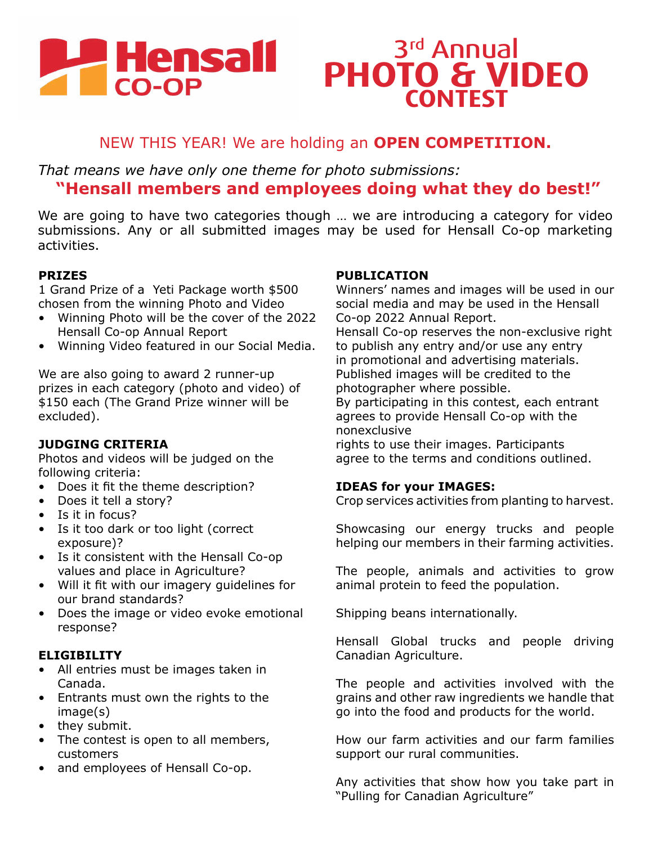# **PHensall**

## 3rd Annual **PHOTO & VIDEO CONTEST**

### NEW THIS YEAR! We are holding an **OPEN COMPETITION.**

*That means we have only one theme for photo submissions:* **"Hensall members and employees doing what they do best!"**

We are going to have two categories though … we are introducing a category for video submissions. Any or all submitted images may be used for Hensall Co-op marketing activities.

#### **PRIZES**

1 Grand Prize of a Yeti Package worth \$500 chosen from the winning Photo and Video

- Winning Photo will be the cover of the 2022 Hensall Co-op Annual Report
- Winning Video featured in our Social Media.

We are also going to award 2 runner-up prizes in each category (photo and video) of \$150 each (The Grand Prize winner will be excluded).

#### **JUDGING CRITERIA**

Photos and videos will be judged on the following criteria:

- Does it fit the theme description?
- Does it tell a story?
- Is it in focus?
- Is it too dark or too light (correct exposure)?
- Is it consistent with the Hensall Co-op values and place in Agriculture?
- Will it fit with our imagery guidelines for our brand standards?
- Does the image or video evoke emotional response?

#### **ELIGIBILITY**

- All entries must be images taken in Canada.
- Entrants must own the rights to the image(s)
- they submit.
- The contest is open to all members, customers
- and employees of Hensall Co-op.

#### **PUBLICATION**

Winners' names and images will be used in our social media and may be used in the Hensall Co-op 2022 Annual Report.

Hensall Co-op reserves the non-exclusive right to publish any entry and/or use any entry in promotional and advertising materials. Published images will be credited to the photographer where possible.

By participating in this contest, each entrant agrees to provide Hensall Co-op with the nonexclusive

rights to use their images. Participants agree to the terms and conditions outlined.

#### **IDEAS for your IMAGES:**

Crop services activities from planting to harvest.

Showcasing our energy trucks and people helping our members in their farming activities.

The people, animals and activities to grow animal protein to feed the population.

Shipping beans internationally.

Hensall Global trucks and people driving Canadian Agriculture.

The people and activities involved with the grains and other raw ingredients we handle that go into the food and products for the world.

How our farm activities and our farm families support our rural communities.

Any activities that show how you take part in "Pulling for Canadian Agriculture"